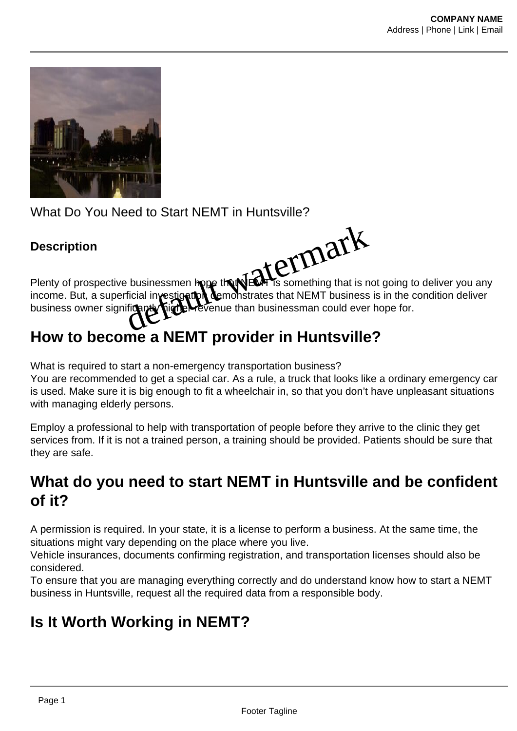

What Do You Need to Start NEMT in Huntsville?

## **Description**



Plenty of prospective businessmen hope that  $NEM$  is something that is not going to deliver you any income. But, a superficial investigation demonstrates that NEMT business is in the condition deliver business owner significantly higher revenue than businessman could ever hope for.

## **How to become a NEMT provider in Huntsville?**

What is required to start a non-emergency transportation business?

You are recommended to get a special car. As a rule, a truck that looks like a ordinary emergency car is used. Make sure it is big enough to fit a wheelchair in, so that you don't have unpleasant situations with managing elderly persons.

Employ a professional to help with transportation of people before they arrive to the clinic they get services from. If it is not a trained person, a training should be provided. Patients should be sure that they are safe.

## **What do you need to start NEMT in Huntsville and be confident of it?**

A permission is required. In your state, it is a license to perform a business. At the same time, the situations might vary depending on the place where you live.

Vehicle insurances, documents confirming registration, and transportation licenses should also be considered.

To ensure that you are managing everything correctly and do understand know how to start a NEMT business in Huntsville, request all the required data from a responsible body.

## **Is It Worth Working in NEMT?**